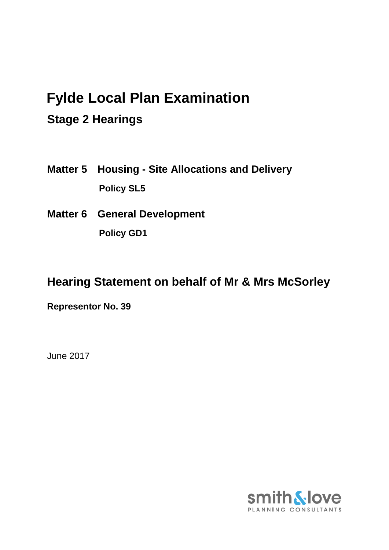# **Fylde Local Plan Examination**

## **Stage 2 Hearings**

- **Matter 5 Housing - Site Allocations and Delivery Policy SL5**
- **Matter 6 General Development Policy GD1**

## **Hearing Statement on behalf of Mr & Mrs McSorley**

**Representor No. 39**

June 2017

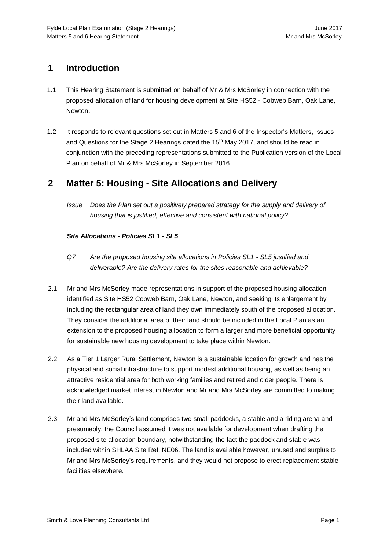### **1 Introduction**

- 1.1 This Hearing Statement is submitted on behalf of Mr & Mrs McSorley in connection with the proposed allocation of land for housing development at Site HS52 - Cobweb Barn, Oak Lane, Newton.
- 1.2 It responds to relevant questions set out in Matters 5 and 6 of the Inspector's Matters, Issues and Questions for the Stage 2 Hearings dated the 15<sup>th</sup> May 2017, and should be read in conjunction with the preceding representations submitted to the Publication version of the Local Plan on behalf of Mr & Mrs McSorley in September 2016.

#### **2 Matter 5: Housing - Site Allocations and Delivery**

*Issue Does the Plan set out a positively prepared strategy for the supply and delivery of housing that is justified, effective and consistent with national policy?* 

#### *Site Allocations - Policies SL1 - SL5*

- *Q7 Are the proposed housing site allocations in Policies SL1 - SL5 justified and deliverable? Are the delivery rates for the sites reasonable and achievable?*
- 2.1 Mr and Mrs McSorley made representations in support of the proposed housing allocation identified as Site HS52 Cobweb Barn, Oak Lane, Newton, and seeking its enlargement by including the rectangular area of land they own immediately south of the proposed allocation. They consider the additional area of their land should be included in the Local Plan as an extension to the proposed housing allocation to form a larger and more beneficial opportunity for sustainable new housing development to take place within Newton.
- 2.2 As a Tier 1 Larger Rural Settlement, Newton is a sustainable location for growth and has the physical and social infrastructure to support modest additional housing, as well as being an attractive residential area for both working families and retired and older people. There is acknowledged market interest in Newton and Mr and Mrs McSorley are committed to making their land available.
- 2.3 Mr and Mrs McSorley's land comprises two small paddocks, a stable and a riding arena and presumably, the Council assumed it was not available for development when drafting the proposed site allocation boundary, notwithstanding the fact the paddock and stable was included within SHLAA Site Ref. NE06. The land is available however, unused and surplus to Mr and Mrs McSorley's requirements, and they would not propose to erect replacement stable facilities elsewhere.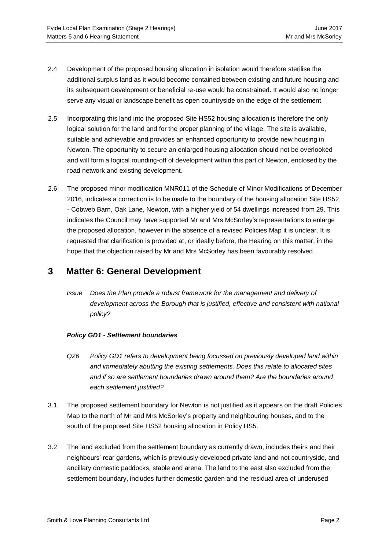- 2.4 Development of the proposed housing allocation in isolation would therefore sterilise the additional surplus land as it would become contained between existing and future housing and its subsequent development or beneficial re-use would be constrained. It would also no longer serve any visual or landscape benefit as open countryside on the edge of the settlement.
- 2.5 Incorporating this land into the proposed Site HS52 housing allocation is therefore the only logical solution for the land and for the proper planning of the village. The site is available, suitable and achievable and provides an enhanced opportunity to provide new housing in Newton. The opportunity to secure an enlarged housing allocation should not be overlooked and will form a logical rounding-off of development within this part of Newton, enclosed by the road network and existing development.
- 2.6 The proposed minor modification MNR011 of the Schedule of Minor Modifications of December 2016, indicates a correction is to be made to the boundary of the housing allocation Site HS52 - Cobweb Barn, Oak Lane, Newton, with a higher yield of 54 dwellings increased from 29. This indicates the Council may have supported Mr and Mrs McSorley's representations to enlarge the proposed allocation, however in the absence of a revised Policies Map it is unclear. It is requested that clarification is provided at, or ideally before, the Hearing on this matter, in the hope that the objection raised by Mr and Mrs McSorley has been favourably resolved.

### **3 Matter 6: General Development**

*Issue Does the Plan provide a robust framework for the management and delivery of*  development across the Borough that is justified, effective and consistent with national *policy?*

#### *Policy GD1 - Settlement boundaries*

- *Q26 Policy GD1 refers to development being focussed on previously developed land within and immediately abutting the existing settlements. Does this relate to allocated sites and if so are settlement boundaries drawn around them? Are the boundaries around each settlement justified?*
- 3.1 The proposed settlement boundary for Newton is not justified as it appears on the draft Policies Map to the north of Mr and Mrs McSorley's property and neighbouring houses, and to the south of the proposed Site HS52 housing allocation in Policy HS5.
- 3.2 The land excluded from the settlement boundary as currently drawn, includes theirs and their neighbours' rear gardens, which is previously-developed private land and not countryside, and ancillary domestic paddocks, stable and arena. The land to the east also excluded from the settlement boundary, includes further domestic garden and the residual area of underused